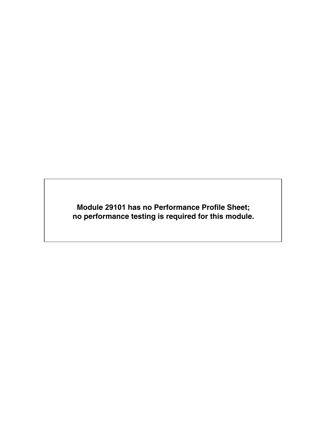**Module 29101 has no Performance Profile Sheet; no performance testing is required for this module.**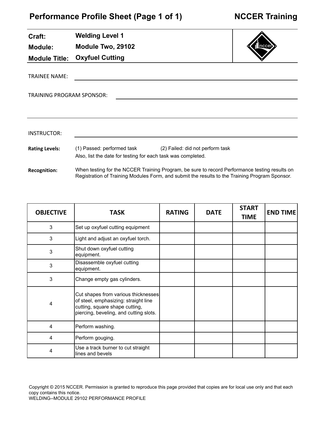| Craft:                           | <b>Welding Level 1</b>                                                                                                                                                                          |               |             |                             |                 |
|----------------------------------|-------------------------------------------------------------------------------------------------------------------------------------------------------------------------------------------------|---------------|-------------|-----------------------------|-----------------|
| <b>Module:</b>                   | Module Two, 29102                                                                                                                                                                               |               |             |                             |                 |
| <b>Module Title:</b>             | <b>Oxyfuel Cutting</b>                                                                                                                                                                          |               |             |                             |                 |
| <b>TRAINEE NAME:</b>             |                                                                                                                                                                                                 |               |             |                             |                 |
| <b>TRAINING PROGRAM SPONSOR:</b> |                                                                                                                                                                                                 |               |             |                             |                 |
|                                  |                                                                                                                                                                                                 |               |             |                             |                 |
|                                  |                                                                                                                                                                                                 |               |             |                             |                 |
| <b>INSTRUCTOR:</b>               |                                                                                                                                                                                                 |               |             |                             |                 |
| <b>Rating Levels:</b>            | (1) Passed: performed task (2) Failed: did not perform task<br>Also, list the date for testing for each task was completed.                                                                     |               |             |                             |                 |
| <b>Recognition:</b>              | When testing for the NCCER Training Program, be sure to record Performance testing results on<br>Registration of Training Modules Form, and submit the results to the Training Program Sponsor. |               |             |                             |                 |
|                                  |                                                                                                                                                                                                 |               |             |                             |                 |
| <b>OBJECTIVE</b>                 | <b>TASK</b>                                                                                                                                                                                     | <b>RATING</b> | <b>DATE</b> | <b>START</b><br><b>TIME</b> | <b>END TIME</b> |

| <b>UDJLJIIVL</b> | 17JR                                                                                                                                                    | 1711117 | 52 I L | <b>TIME</b> | 니게 비비게 |
|------------------|---------------------------------------------------------------------------------------------------------------------------------------------------------|---------|--------|-------------|--------|
| 3                | Set up oxyfuel cutting equipment                                                                                                                        |         |        |             |        |
| 3                | Light and adjust an oxyfuel torch.                                                                                                                      |         |        |             |        |
| 3                | Shut down oxyfuel cutting<br>equipment.                                                                                                                 |         |        |             |        |
| 3                | Disassemble oxyfuel cutting<br>equipment.                                                                                                               |         |        |             |        |
| $\sqrt{3}$       | Change empty gas cylinders.                                                                                                                             |         |        |             |        |
| 4                | Cut shapes from various thicknesses<br>of steel, emphasizing: straight line<br>cutting, square shape cutting,<br>piercing, beveling, and cutting slots. |         |        |             |        |
| 4                | Perform washing.                                                                                                                                        |         |        |             |        |
| 4                | Perform gouging.                                                                                                                                        |         |        |             |        |
| 4                | Use a track burner to cut straight<br>lines and bevels                                                                                                  |         |        |             |        |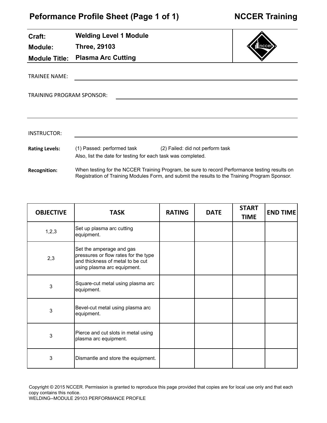# **Peformance Profile Sheet (Page 1 of 1)**

| Craft:                    | <b>Welding Level 1 Module</b>                                                              |                                                                                                                                                                                                 |      |
|---------------------------|--------------------------------------------------------------------------------------------|-------------------------------------------------------------------------------------------------------------------------------------------------------------------------------------------------|------|
| <b>Module:</b>            | <b>Three, 29103</b>                                                                        |                                                                                                                                                                                                 | ncce |
| <b>Module Title:</b>      | <b>Plasma Arc Cutting</b>                                                                  |                                                                                                                                                                                                 |      |
| <b>TRAINEE NAME:</b>      |                                                                                            |                                                                                                                                                                                                 |      |
| TRAINING PROGRAM SPONSOR: |                                                                                            |                                                                                                                                                                                                 |      |
|                           |                                                                                            |                                                                                                                                                                                                 |      |
| INSTRUCTOR:               |                                                                                            |                                                                                                                                                                                                 |      |
| <b>Rating Levels:</b>     | (1) Passed: performed task<br>Also, list the date for testing for each task was completed. | (2) Failed: did not perform task                                                                                                                                                                |      |
| <b>Recognition:</b>       |                                                                                            | When testing for the NCCER Training Program, be sure to record Performance testing results on<br>Registration of Training Modules Form, and submit the results to the Training Program Sponsor. |      |

| <b>OBJECTIVE</b> | TASK                                                                                                                                | <b>RATING</b> | <b>DATE</b> | <b>START</b><br><b>TIME</b> | <b>END TIME</b> |
|------------------|-------------------------------------------------------------------------------------------------------------------------------------|---------------|-------------|-----------------------------|-----------------|
| 1, 2, 3          | Set up plasma arc cutting<br>equipment.                                                                                             |               |             |                             |                 |
| 2,3              | Set the amperage and gas<br>pressures or flow rates for the type<br>and thickness of metal to be cut<br>using plasma arc equipment. |               |             |                             |                 |
| 3                | Square-cut metal using plasma arc<br>equipment.                                                                                     |               |             |                             |                 |
| 3                | Bevel-cut metal using plasma arc<br>equipment.                                                                                      |               |             |                             |                 |
| 3                | Pierce and cut slots in metal using<br>plasma arc equipment.                                                                        |               |             |                             |                 |
| 3                | Dismantle and store the equipment.                                                                                                  |               |             |                             |                 |

Copyright © 2015 NCCER. Permission is granted to reproduce this page provided that copies are for local use only and that each copy contains this notice.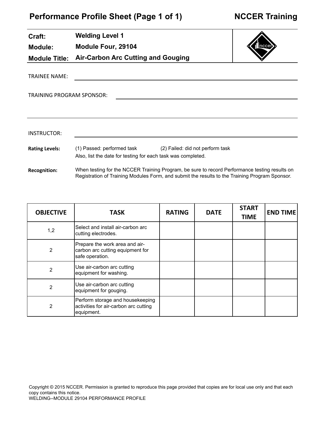**Welding Level 1**

**Craft:**

| Module:                          | Module Four, 29104                                                                                                                                                                              |  | Inccer       |  |
|----------------------------------|-------------------------------------------------------------------------------------------------------------------------------------------------------------------------------------------------|--|--------------|--|
| <b>Module Title:</b>             | <b>Air-Carbon Arc Cutting and Gouging</b>                                                                                                                                                       |  |              |  |
| TRAINEE NAME:                    |                                                                                                                                                                                                 |  |              |  |
| <b>TRAINING PROGRAM SPONSOR:</b> |                                                                                                                                                                                                 |  |              |  |
|                                  |                                                                                                                                                                                                 |  |              |  |
| <b>INSTRUCTOR:</b>               |                                                                                                                                                                                                 |  |              |  |
| <b>Rating Levels:</b>            | (1) Passed: performed task (2) Failed: did not perform task<br>Also, list the date for testing for each task was completed.                                                                     |  |              |  |
| <b>Recognition:</b>              | When testing for the NCCER Training Program, be sure to record Performance testing results on<br>Registration of Training Modules Form, and submit the results to the Training Program Sponsor. |  |              |  |
|                                  |                                                                                                                                                                                                 |  |              |  |
|                                  |                                                                                                                                                                                                 |  | <b>START</b> |  |

| <b>OBJECTIVE</b> | <b>TASK</b>                                                                             | <b>RATING</b> | <b>DATE</b> | <b>START</b><br><b>TIME</b> | <b>END TIME</b> |
|------------------|-----------------------------------------------------------------------------------------|---------------|-------------|-----------------------------|-----------------|
| 1,2              | Select and install air-carbon arc<br>cutting electrodes.                                |               |             |                             |                 |
| $\overline{2}$   | Prepare the work area and air-<br>carbon arc cutting equipment for<br>safe operation.   |               |             |                             |                 |
| 2                | Use air-carbon arc cutting<br>equipment for washing.                                    |               |             |                             |                 |
| $\overline{2}$   | Use air-carbon arc cutting<br>equipment for gouging.                                    |               |             |                             |                 |
| 2                | Perform storage and housekeeping<br>activities for air-carbon arc cutting<br>equipment. |               |             |                             |                 |

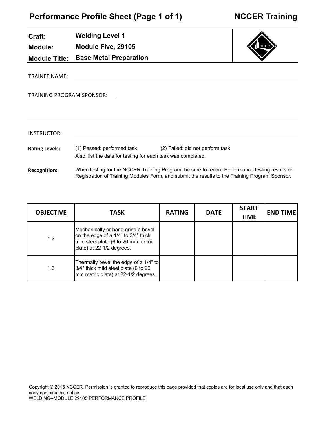**Module Five, 29105**

**Base Metal Preparation**

**Welding Level 1**

**Craft:**

**Module:**

**Module Title:**

TRAINEE NAME:

INSTRUCTOR:

**Rating Levels:** 

**Recognition:**

TRAINING PROGRAM SPONSOR:

(1) Passed: performed task (2) Failed: did not perform task

When testing for the NCCER Training Program, be sure to record Performance testing results on Registration of Training Modules Form, and submit the results to the Training Program Sponsor.

Also, list the date for testing for each task was completed.

| <b>OBJECTIVE</b> | <b>TASK</b>                                                                                                                                   | <b>RATING</b> | <b>DATE</b> | <b>START</b><br><b>TIME</b> | <b>END TIME</b> |
|------------------|-----------------------------------------------------------------------------------------------------------------------------------------------|---------------|-------------|-----------------------------|-----------------|
| 1,3              | Mechanically or hand grind a bevel<br>on the edge of a 1/4" to 3/4" thick<br>mild steel plate (6 to 20 mm metric<br>plate) at 22-1/2 degrees. |               |             |                             |                 |
| 1,3              | Thermally bevel the edge of a 1/4" to<br>3/4" thick mild steel plate (6 to 20<br>mm metric plate) at 22-1/2 degrees.                          |               |             |                             |                 |

Copyright © 2015 NCCER. Permission is granted to reproduce this page provided that copies are for local use only and that each copy contains this notice.



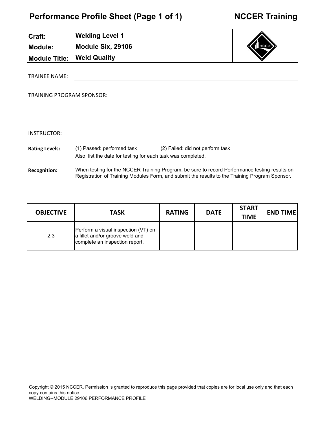| Craft:                    | <b>Welding Level 1</b>                                                                     |                                                                                                                                                                                                 |  |
|---------------------------|--------------------------------------------------------------------------------------------|-------------------------------------------------------------------------------------------------------------------------------------------------------------------------------------------------|--|
| <b>Module:</b>            | Module Six, 29106                                                                          |                                                                                                                                                                                                 |  |
| <b>Module Title:</b>      | <b>Weld Quality</b>                                                                        |                                                                                                                                                                                                 |  |
| <b>TRAINEE NAME:</b>      |                                                                                            |                                                                                                                                                                                                 |  |
| TRAINING PROGRAM SPONSOR: |                                                                                            |                                                                                                                                                                                                 |  |
|                           |                                                                                            |                                                                                                                                                                                                 |  |
| INSTRUCTOR:               |                                                                                            |                                                                                                                                                                                                 |  |
| <b>Rating Levels:</b>     | (1) Passed: performed task<br>Also, list the date for testing for each task was completed. | (2) Failed: did not perform task                                                                                                                                                                |  |
| <b>Recognition:</b>       |                                                                                            | When testing for the NCCER Training Program, be sure to record Performance testing results on<br>Registration of Training Modules Form, and submit the results to the Training Program Sponsor. |  |

| <b>OBJECTIVE</b> | <b>TASK</b>                                                                                              | <b>RATING</b> | <b>DATE</b> | <b>START</b><br><b>TIME</b> | <b>END TIME</b> |
|------------------|----------------------------------------------------------------------------------------------------------|---------------|-------------|-----------------------------|-----------------|
| 2,3              | Perform a visual inspection (VT) on<br>a fillet and/or groove weld and<br>complete an inspection report. |               |             |                             |                 |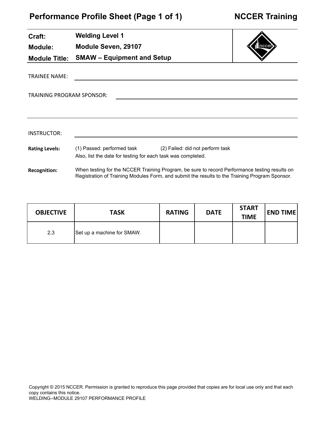J.

| Craft:                    | <b>Welding Level 1</b>                                       |                                                                                                                                                                                                 |  |
|---------------------------|--------------------------------------------------------------|-------------------------------------------------------------------------------------------------------------------------------------------------------------------------------------------------|--|
| <b>Module:</b>            | Module Seven, 29107                                          |                                                                                                                                                                                                 |  |
| <b>Module Title:</b>      | <b>SMAW - Equipment and Setup</b>                            |                                                                                                                                                                                                 |  |
| <b>TRAINEE NAME:</b>      |                                                              |                                                                                                                                                                                                 |  |
| TRAINING PROGRAM SPONSOR: |                                                              |                                                                                                                                                                                                 |  |
|                           |                                                              |                                                                                                                                                                                                 |  |
|                           |                                                              |                                                                                                                                                                                                 |  |
| INSTRUCTOR:               |                                                              |                                                                                                                                                                                                 |  |
| <b>Rating Levels:</b>     | Also, list the date for testing for each task was completed. | (1) Passed: performed task (2) Failed: did not perform task                                                                                                                                     |  |
| <b>Recognition:</b>       |                                                              | When testing for the NCCER Training Program, be sure to record Performance testing results on<br>Registration of Training Modules Form, and submit the results to the Training Program Sponsor. |  |

| <b>OBJECTIVE</b> | <b>TASK</b>                | <b>RATING</b> | <b>DATE</b> | <b>START</b><br><b>TIME</b> | <b>END TIME</b> |
|------------------|----------------------------|---------------|-------------|-----------------------------|-----------------|
| 2,3              | Set up a machine for SMAW. |               |             |                             |                 |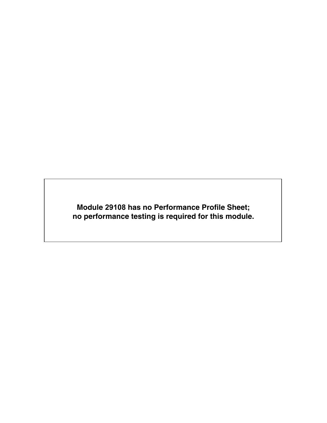**Module 29108 has no Performance Profile Sheet; no performance testing is required for this module.**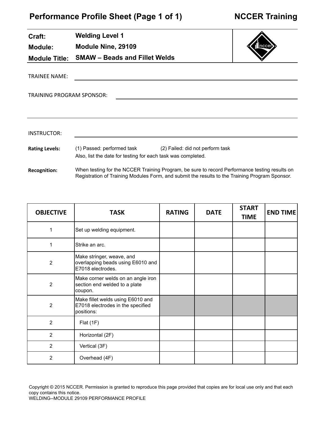| Craft:                    | <b>Welding Level 1</b>                                                                                                      |       |
|---------------------------|-----------------------------------------------------------------------------------------------------------------------------|-------|
| <b>Module:</b>            | Module Nine, 29109                                                                                                          | nccer |
|                           | Module Title: SMAW - Beads and Fillet Welds                                                                                 |       |
| TRAINEE NAME:             |                                                                                                                             |       |
| TRAINING PROGRAM SPONSOR: |                                                                                                                             |       |
|                           |                                                                                                                             |       |
| <b>INSTRUCTOR:</b>        |                                                                                                                             |       |
| <b>Rating Levels:</b>     | (1) Passed: performed task (2) Failed: did not perform task<br>Also, list the date for testing for each task was completed. |       |

**Recognition:** When testing for the NCCER Training Program, be sure to record Performance testing results on Registration of Training Modules Form, and submit the results to the Training Program Sponsor.

| <b>OBJECTIVE</b> | <b>TASK</b>                                                                          | <b>RATING</b> | <b>DATE</b> | <b>START</b><br><b>TIME</b> | <b>END TIME</b> |
|------------------|--------------------------------------------------------------------------------------|---------------|-------------|-----------------------------|-----------------|
| 1                | Set up welding equipment.                                                            |               |             |                             |                 |
| 1                | Strike an arc.                                                                       |               |             |                             |                 |
| $\overline{2}$   | Make stringer, weave, and<br>overlapping beads using E6010 and<br>E7018 electrodes.  |               |             |                             |                 |
| $\overline{2}$   | Make corner welds on an angle iron<br>section end welded to a plate<br>coupon.       |               |             |                             |                 |
| $\overline{2}$   | Make fillet welds using E6010 and<br>E7018 electrodes in the specified<br>positions: |               |             |                             |                 |
| $\overline{2}$   | Flat(1F)                                                                             |               |             |                             |                 |
| $\overline{2}$   | Horizontal (2F)                                                                      |               |             |                             |                 |
| $\overline{2}$   | Vertical (3F)                                                                        |               |             |                             |                 |
| 2                | Overhead (4F)                                                                        |               |             |                             |                 |

Copyright © 2015 NCCER. Permission is granted to reproduce this page provided that copies are for local use only and that each copy contains this notice.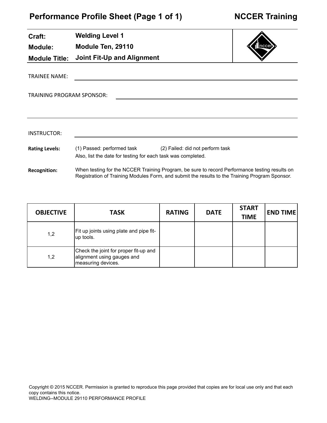**Welding Level 1**

**Module Ten, 29110**

**Joint Fit-Up and Alignment**

**Craft:**

 $\overline{\phantom{0}}$ 

**Module:**

**Module Title:**

TRAINEE NAME:

TRAINING PROGRAM SPONSOR:

| ,一个人的人都是一个人的人,一个人的人都是一个人的人,一个人的人都是一个人的人,一个人的人都是一个人的人,一个人的人都是一个人的人,一个人的人都是一个人的人,一个<br>第二十一章 一个人的人,一个人的人都是一个人的人,一个人的人都是一个人的人,一个人的人都是一个人的人,一个人的人都是一个人的人,一个人的人都是一个人的人,一个人 |  | _______ |
|-----------------------------------------------------------------------------------------------------------------------------------------------------------------------|--|---------|
|                                                                                                                                                                       |  |         |

| INSTRUCTOR:           |                                                              |                                                                                                                                                                                                 |
|-----------------------|--------------------------------------------------------------|-------------------------------------------------------------------------------------------------------------------------------------------------------------------------------------------------|
| <b>Rating Levels:</b> | (1) Passed: performed task                                   | (2) Failed: did not perform task                                                                                                                                                                |
|                       | Also, list the date for testing for each task was completed. |                                                                                                                                                                                                 |
| <b>Recognition:</b>   |                                                              | When testing for the NCCER Training Program, be sure to record Performance testing results on<br>Registration of Training Modules Form, and submit the results to the Training Program Sponsor. |

| <b>OBJECTIVE</b> | <b>TASK</b>                                                                               | <b>RATING</b> | <b>DATE</b> | <b>START</b><br><b>TIME</b> | <b>END TIME</b> |
|------------------|-------------------------------------------------------------------------------------------|---------------|-------------|-----------------------------|-----------------|
| 1,2              | Fit up joints using plate and pipe fit-<br>lup tools.                                     |               |             |                             |                 |
| 1,2              | Check the joint for proper fit-up and<br>alignment using gauges and<br>measuring devices. |               |             |                             |                 |

#### Copyright © 2015 NCCER. Permission is granted to reproduce this page provided that copies are for local use only and that each copy contains this notice. WELDING--MODULE 29110 PERFORMANCE PROFILE

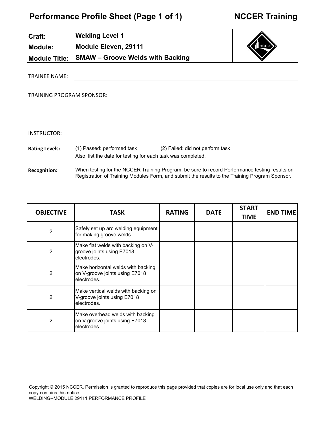| Craft:                    | <b>Welding Level 1</b>                                                                                                                                                                          |               |                                  |              |                 |
|---------------------------|-------------------------------------------------------------------------------------------------------------------------------------------------------------------------------------------------|---------------|----------------------------------|--------------|-----------------|
| <b>Module:</b>            | <b>Module Eleven, 29111</b>                                                                                                                                                                     |               |                                  |              |                 |
| <b>Module Title:</b>      | <b>SMAW - Groove Welds with Backing</b>                                                                                                                                                         |               |                                  |              |                 |
| <b>TRAINEE NAME:</b>      |                                                                                                                                                                                                 |               |                                  |              |                 |
| TRAINING PROGRAM SPONSOR: |                                                                                                                                                                                                 |               |                                  |              |                 |
| <b>INSTRUCTOR:</b>        |                                                                                                                                                                                                 |               |                                  |              |                 |
| <b>Rating Levels:</b>     | (1) Passed: performed task<br>Also, list the date for testing for each task was completed.                                                                                                      |               | (2) Failed: did not perform task |              |                 |
| <b>Recognition:</b>       | When testing for the NCCER Training Program, be sure to record Performance testing results on<br>Registration of Training Modules Form, and submit the results to the Training Program Sponsor. |               |                                  |              |                 |
| <b>OBJECTIVE</b>          | TASK                                                                                                                                                                                            | <b>RATING</b> | <b>DATE</b>                      | <b>START</b> | <b>END TIME</b> |

| <b>OBJECTIVE</b> | TASK                                                                                | <b>RATING</b> | <b>DATE</b> | <b>TIME</b> | <b>END TIME</b> |
|------------------|-------------------------------------------------------------------------------------|---------------|-------------|-------------|-----------------|
| 2                | Safely set up arc welding equipment<br>for making groove welds.                     |               |             |             |                 |
| 2                | Make flat welds with backing on V-<br>groove joints using E7018<br>electrodes.      |               |             |             |                 |
| 2                | Make horizontal welds with backing<br>on V-groove joints using E7018<br>electrodes. |               |             |             |                 |
| 2                | Make vertical welds with backing on<br>V-groove joints using E7018<br>electrodes.   |               |             |             |                 |
| 2                | Make overhead welds with backing<br>on V-groove joints using E7018<br>electrodes.   |               |             |             |                 |

Copyright © 2015 NCCER. Permission is granted to reproduce this page provided that copies are for local use only and that each copy contains this notice. WELDING--MODULE 29111 PERFORMANCE PROFILE